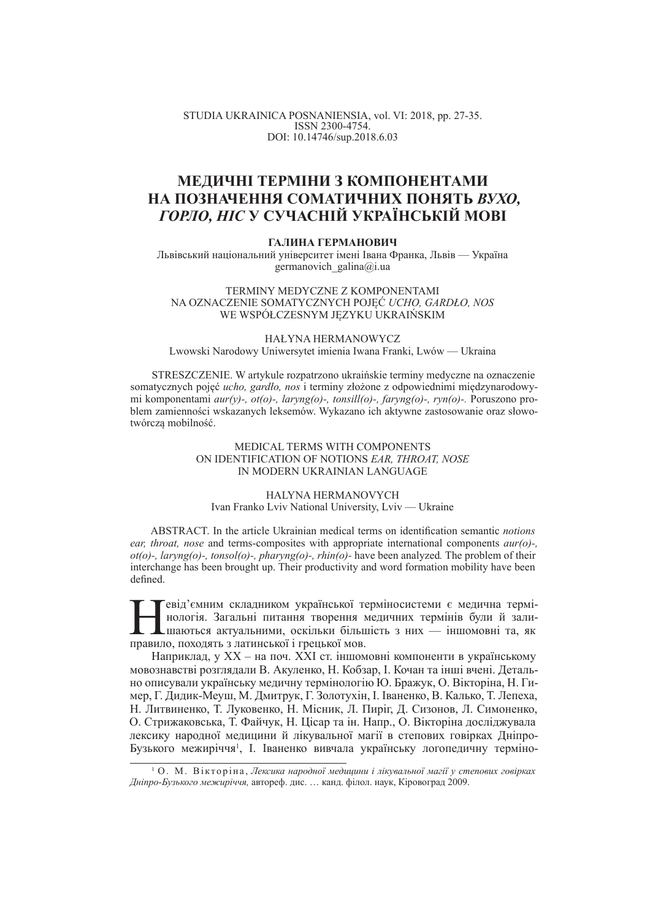STUDIA UKRAINICA POSNANIENSIA, vol. VI: 2018, pp. 27-35. ISSN 2300-4754. DOI: 10.14746/sup.2018.6.03

# МЕДИЧНІ ТЕРМІНИ З КОМПОНЕНТАМИ НА ПОЗНАЧЕННЯ СОМАТИЧНИХ ПОНЯТЬ ВУХО, *ȽɈɊɅɈ, ɇȱɋ* **ɍ ɋɍɑȺɋɇȱɃ ɍɄɊȺȲɇɋɖɄȱɃ ɆɈȼȱ**

## ГАЛИНА ГЕРМАНОВИЧ

Львівський національний університет імені Івана Франка, Львів — Україна germanovich\_galina@i.ua

TERMINY MEDYCZNE Z KOMPONENTAMI NA OZNACZENIE SOMATYCZNYCH POJĉû *UCHO, GARDàO, NOS* WE WSPÓŁCZESNYM JĘZYKU UKRAIŃSKIM

#### HAŁYNA HERMANOWYCZ Lwowski Narodowy Uniwersytet imienia Iwana Franki, Lwów — Ukraina

STRESZCZENIE. W artykule rozpatrzono ukraińskie terminy medyczne na oznaczenie somatycznych pojęć *ucho, gardło, nos* i terminy złożone z odpowiednimi międzynarodowymi komponentami *aur(y)-, ot(o)-, laryng(o)-, tonsill(o)-, faryng(o)-, ryn(o)-.* Poruszono problem zamienności wskazanych leksemów. Wykazano ich aktywne zastosowanie oraz słowotwórczą mobilność.

## MEDICAL TERMS WITH COMPONENTS ON IDENTIFICATION OF NOTIONS *EAR, THROAT, NOSE* IN MODERN UKRAINIAN LANGUAGE

#### HALYNA HERMANOVYCH Ivan Franko Lviv National University, Lviv — Ukraine

ABSTRACT. In the article Ukrainian medical terms on identification semantic *notions ear, throat, nose* and terms-composites with appropriate international components *aur(o)-, ot(o)-, laryng(o)-, tonsol(o)-, pharyng(o)-, rhin(o)-* have been analyzed*.* The problem of their interchange has been brought up. Their productivity and word formation mobility have been defined.

Плевід'ємним складником української тельствовить загальні питання творення в шаються актуальними, оскільки більш<br>правило, походять з латинської і грецької мов. Гевід'ємним складником української терміносистеми є медична термінологія. Загальні питання творення медичних термінів були й залидшаються актуальними, оскільки більшість з них — іншомовні та, як

Наприклад, у XX – на поч. XXI ст. іншомовні компоненти в українському мовознавстві розглядали В. Акуленко, Н. Кобзар, І. Кочан та інші вчені. Детально описували українську медичну термінологію Ю. Бражук, О. Вікторіна, Н. Гимер, Г. Дидик-Меуш, М. Дмитрук, Г. Золотухін, І. Іваненко, В. Калько, Т. Лепеха, Н. Литвиненко, Т. Луковенко, Н. Місник, Л. Пиріг, Д. Сизонов, Л. Симоненко, О. Стрижаковська, Т. Файчук, Н. Цісар та ін. Напр., О. Вікторіна досліджувала лексику народної медицини й лікувальної магії в степових говірках Дніпро-Бузького межиріччя<sup>1</sup>, І. Іваненко вивчала українську логопедичну терміно-

<sup>&</sup>lt;sup>1</sup> О. М. Вікторіна, Лексика народної медицини і лікувальної магії у степових говірках  $\mu$ *Hніпро-Бузького межиріччя*, автореф. дис. ... канд. філол. наук, Кіровоград 2009.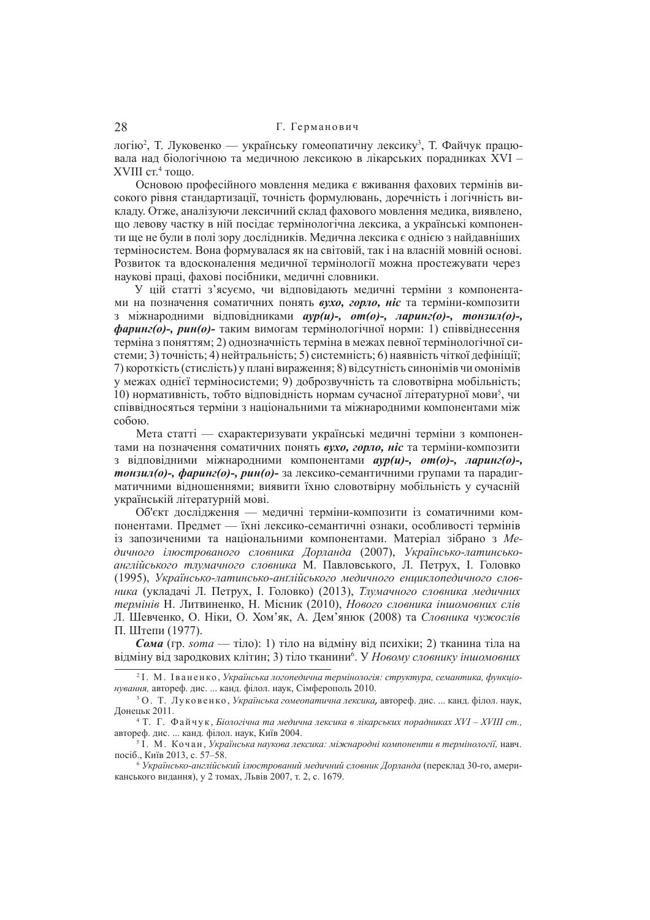# 28 Г. Германович

логію<sup>2</sup>, Т. Луковенко — українську гомеопатичну лексику<sup>з</sup>, Т. Файчук працювала над біологічною та медичною лексикою в лікарських порадниках XVI – XVIII ст.<sup>4</sup> тощо.

Основою професійного мовлення медика є вживання фахових термінів високого рівня стандартизації, точність формулювань, доречність і логічність викладу. Отже, аналізуючи лексичний склад фахового мовлення медика, виявлено, що левову частку в ній посідає термінологічна лексика, а українські компоненти ще не були в полі зору дослідників. Медична лексика є однією з найдавніших терміносистем. Вона формувалася як на світовій, так і на власній мовній основі. Розвиток та влосконалення меличної термінології можна простежувати через наукові праці, фахові посібники, меличні словники,

У цій статті з'ясуємо, чи відповідають медичні терміни з компонентами на позначення соматичних понять вухо, горло, ніс та терміни-композити з міжнародними відповідниками *аур*(*и*)-, *от*(*o*)-, ларинг(*o*)-, тонзил(*o*)-,  $\phi$ аринг(о)-, рин(о)- таким вимогам термінологічної норми: 1) співвіднесення терміна з поняттям; 2) однозначність терміна в межах певної термінологічної си $c$ теми; 3) точність; 4) нейтральність; 5) системність; 6) наявність чіткої дефініції; 7) короткість (стислість) у плані вираження: 8) відсутність синонімів чи омонімів у межах однієї терміносистеми; 9) доброзвучність та словотвірна мобільність; 10) нормативність, тобто відповідність нормам сучасної літературної мови<sup>5</sup>, чи співвідносяться терміни з національними та міжнародними компонентами між  $c$ <sup>060 $\mu$  $c$ </sup>

Мета статті — схарактеризувати українські медичні терміни з компонентами на позначення соматичних понять вухо, горло, ніс та терміни-композити з відповідними міжнародними компонентами *ayp(u)-, от(о)-, ларинг(о)-*,  $m$ *онзил(о)-, фаринг(о)-, рин(о)-* за лексико-семантичними групами та парадигматичними відношеннями; виявити їхню словотвірну мобільність у сучасній українській літературній мові.

Об'єкт лослілження — меличні терміни-композити із соматичними компонентами. Предмет — їхні лексико-семантичні ознаки, особливості термінів із запозиченими та національними компонентами. Матеріал зібрано з Медичного *ілюстрованого словника Дорланда* (2007), Українсько-латинськоанглійського тлумачного словника М. Павловського, Л. Петрух, І. Головко (1995), *ɍɤɪɚʀɧɫɶɤɨ-ɥɚɬɢɧɫɶɤɨ-ɚɧʉɥɿɣɫɶɤɨɝɨ ɦɟɞɢɱɧɨɝɨ ɟɧɰɢɤɥɨɩɟɞɢɱɧɨɝɨ ɫɥɨɜника* (укладачі Л. Петрух, І. Головко) (2013), *Тлумачного словника медичних термінів* Н. Литвиненко, Н. Місник (2010), *Нового словника іншомовних слів* Л. Шевченко, О. Ніки, О. Хом'як, А. Дем'янюк (2008) та *Словника чужослів* П. Штепи (1977).

 $\alpha_{\text{MA}}$  (гр. *soma* — тіло): 1) тіло на вілміну віл психіки: 2) тканина тіла на відміну від зародкових клітин; 3) тіло тканини<sup>6</sup>. У *Новому словнику іншомовних* 

<sup>2</sup> ȱ. Ɇ. ȱ ɜ ɚ ɧ ɟ ɧ ɤɨ , *ɍɤɪɚʀɧɫɶɤɚ ɥɨɝɨɩɟɞɢɱɧɚ ɬɟɪɦɿɧɨɥɨɝɿɹ: ɫɬɪɭɤɬɭɪɚ, ɫɟɦɚɧɬɢɤɚ, ɮɭɧɤɰɿɨнування*, автореф. дис. ... канд. філол. наук, Сімферополь 2010.

<sup>&</sup>lt;sup>3</sup> О. Т. Луковенко, Українська гомеопатична лексика, автореф. дис. ... канд. філол. наук, Донецьк 2011.

<sup>4</sup> Ɍ. Ƚ. Ɏ ɚ ɣ ɱ ɭ ɤ , *Ȼɿɨɥɨɝɿɱɧɚ ɬɚ ɦɟɞɢɱɧɚ ɥɟɤɫɢɤɚ ɜ ɥɿɤɚɪɫɶɤɢɯ ɩɨɪɚɞɧɢɤɚɯ ɏVȱ – ɏVȱȱȱ ɫɬ.,*  автореф. дис. ... канд. філол. наук, Київ 2004.

 $^5$  I . М. Кочан, Українська наукова лексика: міжнародні компоненти в термінології, навч. посіб., Київ 2013, с. 57–58.

<sup>&</sup>lt;sup>6</sup> Українсько-англійський ілюстрований медичний словник Дорланда (переклад 30-го, американського видання), у 2 томах, Львів 2007, т. 2, с. 1679.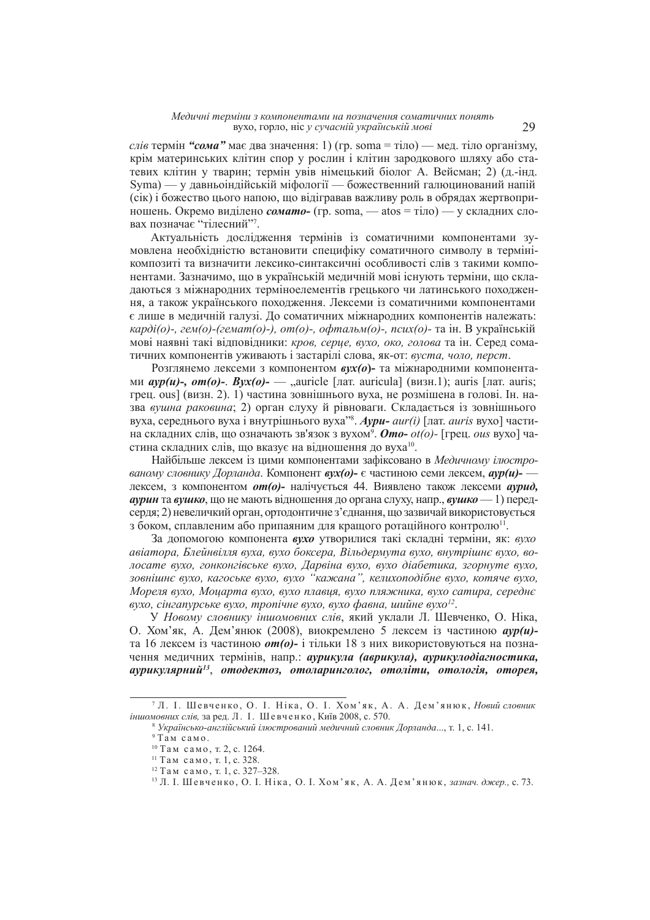*слів* термін "*сома*" має два значення: 1) (гр. soma = тіло) — мед. тіло організму, крім материнських клітин спор у рослин і клітин зародкового шляху або статевих клітин у тварин; термін увів німецький біолог А. Вейсман; 2) (д.-інд. Syma) — у давньоіндійській міфології — божественний галюцинований напій (cik) і божество цього напою, що відігравав важливу роль в обрядах жертвоприношень. Окремо виділено *сомато*- (гр. soma, — atos = тіло) — у складних словах позначає "тілесний"7.

Актуальність дослідження термінів із соматичними компонентами зумовлена необхідністю встановити специфіку соматичного символу в термінікомпозиті та визначити лексико-синтаксичні особливості слів з такими компонентами. Зазначимо, що в українській меличній мові існують терміни, що складаються з міжнародних терміноелементів грецького чи латинського походження, а також українського походження. Лексеми із соматичними компонентами є лише в медичній галузі. До соматичних міжнародних компонентів належать: карді(о)-, гем(о)-(гемат(о)-), от(о)-, офтальм(о)-, псих(о)- та ін. В українській мові наявні такі вілповілники: *кров. серие. вухо. око. голова* та ін. Серел соматичних компонентів уживають і застарілі слова, як-от: *вуста, чоло, перст.* 

Розглянемо лексеми з компонентом  $\epsilon v x / o$  - та міжнародними компонента**ми** *ayp(u)***-,**  $om(o)$ -.  $Byx(o)$ - — "auricle [лат. auricula] (визн. 1); auris [лат. auris; грец. ous] (визн. 2). 1) частина зовнішнього вуха, не розмішена в голові. Ін. назва *вушна раковина*: 2) орган слуху й рівноваги. Склалається із зовнішнього вуха, середнього вуха і внутрішнього вуха<sup>38</sup>. Аури- aur(i) [лат. auris вухо] частина складних слів, що означають зв'язок з вухом<sup>9</sup>. **Ото-** ot(o)- [грец. *ous* вухо] частина складних слів, що вказує на відношення до вуха<sup>10</sup>.

Найбільше лексем із шими компонентами зафіксовано в *Медичному ілюєтрованому словнику Дорланда*. Компонент *вух(о)*- є частиною семи лексем, *ayp(u)-* дексем, з компонентом *om*(o)- налічується 44. Виявлено також лексеми *аурид*, **аvрин та вvико**, що не мають вілношення до органа слуху, напр., **вvико** — 1) передсерля: 2) невеличкий орган. ортолонтичне з'єлнання, що зазвичай використовується з боком, сплавленим або припаяним для кращого ротаційного контролю<sup>11</sup>.

За допомогою компонента вухо утворилися такі складні терміни, як: вухо  $a$ віатора, Блейнвілля вуха, вухо боксера, Вільдермута вухо, внутрішнє вухо, волосате вухо, гонконгівське вухо, Дарвіна вухо, вухо діабетика, згорнуте вухо, зовнішнє вухо, кагоське вухо, вухо "кажана", келихоподібне вухо, котяче вухо, *Ɇɨɪɟɥɹ ɜɭɯɨ, Ɇɨɰɚɪɬɚ ɜɭɯɨ, ɜɭɯɨ ɩɥɚɜɰɹ, ɜɭɯɨ ɩɥɹɠɧɢɤɚ, ɜɭɯɨ ɫɚɬɢɪɚ, ɫɟɪɟɞɧɽ ɜɭɯɨ, ɫɿɧɝɚɩɭɪɫɶɤɟ ɜɭɯɨ, ɬɪɨɩɿɱɧɟ ɜɭɯɨ, ɜɭɯɨ ɮɚɜɧɚ, ɲɢɣɧɟ ɜɭɯɨ<sup>12</sup>* .

У Новому словнику *іншомовних слів*, який уклали Л. Шевченко, О. Ніка, О. Хом'як, А. Дем'янюк (2008), виокремлено 5 лексем із частиною *avp(u)*та 16 лексем із частиною **от (о)**- і тільки 18 з них використовуються на позначення медичних термінів, напр.: аурикула (аврикула), аурикулодіагностика,  $\alpha$ урикулярний $^{13}$ , отодектоз, отоларинголог, отоліти, отологія, оторея,

<sup>&</sup>lt;sup>7</sup> Л. І. Шевченко, О. І. Ніка, О. І. Хом'як, А. А. Дем'янюк, Новий словник іншомовних слів, за ред. Л. І. Шевченко, Київ 2008, с. 570.

<sup>8</sup> *ɍɤɪɚʀɧɫɶɤɨ-ɚɧɝɥɿɣɫɶɤɢɣ ɿɥɸɫɬɪɨɜɚɧɢɣ ɦɟɞɢɱɧɢɣ ɫɥɨɜɧɢɤ Ⱦɨɪɥɚɧɞɚ*..., ɬ. 1, ɫ. 141.

 $9$  Там само.

 $10$  Там само, т. 2, с. 1264.

<sup>&</sup>lt;sup>11</sup> Там само, т. 1, с. 328.

 $12$  Там само, т. 1, с. 327–328.

<sup>&</sup>lt;sup>13</sup> Л. І. Шевченко, О. І. Ніка, О. І. Хом'як, А. А. Дем'янюк, зазнач. джер., с. 73.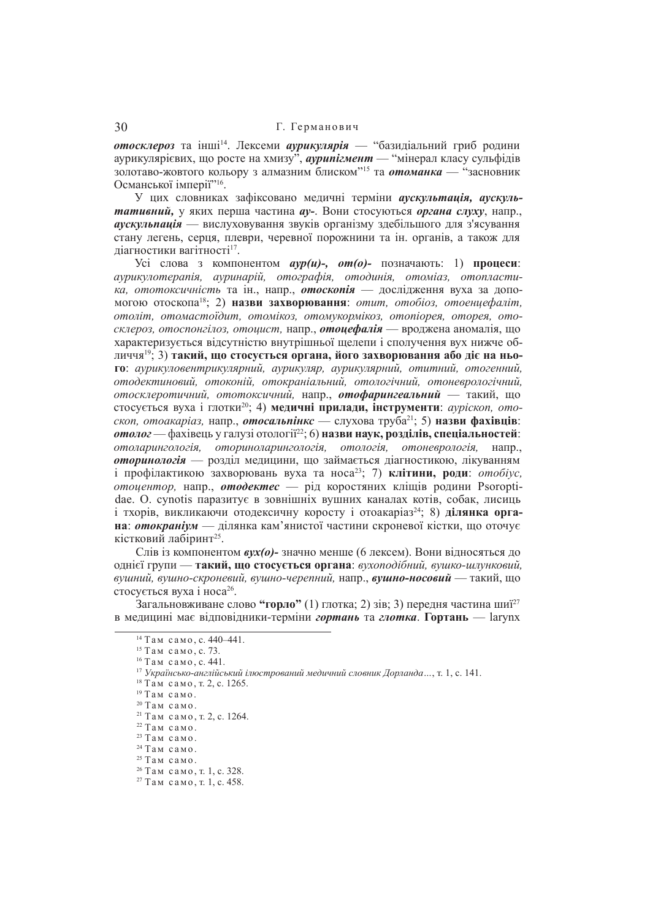отосклероз та інші<sup>14</sup>. Лексеми аурикулярія — "базидіальний гриб родини аурикулярієвих, що росте на хмизу<sup>5</sup>, аурипігмент — "мінерал класу сульфідів золотаво-жовтого кольору з алмазним блиском"<sup>15</sup> та *отоманка* — "засновник Османської імперії"<sup>16</sup>.

У цих словниках зафіксовано медичні терміни *аускультація*, *аускуль***тативний,** у яких перша частина *ау*-. Вони стосуються *органа слуху*, напр., **аускульпація** — вислуховування звуків організму здебільшого для з'ясування стану легень, серця, плеври, черевної порожнини та ін. органів, а також для діагностики вагітності<sup>17</sup>.

Yci слова з компонентом *ayp(u)-, om(o)-* позначають: 1) процеси:  $\alpha$ урикулотерапія, ауринарій, отографія, отодинія, отоміаз, отопласти*ка*, *ототоксичність* та ін., напр., **отоскопія** — дослідження вуха за допомогою отоскопа<sup>18</sup>; 2) **назви захворювання**: *отит, отобіоз, отоенцефаліт*, *ɨɬɨɥɿɬ, ɨɬɨɦɚɫɬɨʀɞɢɬ, ɨɬɨɦɿɤɨɡ, ɨɬɨɦɭɤɨɪɦɿɤɨɡ, ɨɬɨɩɿɨɪɟɹ, ɨɬɨɪɟɹ, ɨɬɨcклероз, отоспонгілоз, отоцист, напр., отоцефалія — вроджена аномалія, що* характеризується вілсутністю внутрішньої шелепи і сполучення вух нижче об- $\pi \hat{H}$ ччя<sup>19</sup>; 3) такий, що стосується органа, його захворювання або ліє на ньо**ɝɨ**: *ɚɭɪɢɤɭɥɨɜɟɧɬɪɢɤɭɥɹɪɧɢɣ, ɚɭɪɢɤɭɥɹɪ, ɚɭɪɢɤɭɥɹɪɧɢɣ, ɨɬɢɬɧɢɣ, ɨɬɨɝɟɧɧɢɣ,*   $\overline{\text{6}}$ *ютодектиновий, отоконій, отокраніальний, отологічний, отоневрологічний,*  $\delta$  отосклеротичний, ототоксичний, напр., **отофарингеальний** — такий, що стосується вуха і глотки<sup>20</sup>; 4) меличні прилади, інструменти: *avpickon, ото*-*<i>minkc* — слухова труба<sup>21</sup>; 5) назви фахівців:  $\boldsymbol{\delta}$ *ыного* — фахівець у галузі отології<sup>22</sup>; 6) **назви наук, розділів, спеціальностей**:  $\delta$ *ютоларингологія, оториноларингологія, отологія, отоневрологія,* напр., *оторинологія* — розділ медицини, що займається діагностикою, лікуванням i профiлактикою захворювань вуха та носа<sup>23</sup>; 7) клiтини, роди: *отобiус*, *Ифиситор*, напр., *отодектес* — рід коростяних кліщів родини Psoroptidae. O. cynotis паразитує в зовнішніх вушних каналах котів, собак, лисиць  $i$  тхорів, викликаючи отолексичну коросту і отоакаріаз<sup>24</sup>; 8) **лілянка орга**на: *отокраніум* — ділянка кам'янистої частини скроневої кістки, що оточує кістковий лабіринт<sup>25</sup>.

Слів із компонентом **вих(о)**- значно менше (6 лексем). Вони вілносяться до ɨɞɧɿɽʀ ɝɪɭɩɢ — **ɬɚɤɢɣ, ɳɨ ɫɬɨɫɭɽɬɶɫɹ ɨɪɝɚɧɚ**: *ɜɭɯɨɩɨɞɿɛɧɢɣ, ɜɭɲɤɨ-ɲɥɭɧɤɨɜɢɣ,*   $B$ ушний, вушно-скроневий, вушно-черепний, напр., вушно-носовий — такий, що стосується вуха і носа $2^6$ .

Загальновживане слово "**горло"** (1) глотка; 2) зів; 3) передня частина шиї<sup>27</sup> в медицині має відповідники-терміни гортань та глотка. Гортань — larynx

 $14$  Там само, с. 440–441.

 $15$  Tam camo, c. 73.

 $16$  Там само, с. 441.

<sup>&</sup>lt;sup>17</sup> Українсько-англійський ілюстрований медичний словник Дорланда..., т. 1, с. 141.

 $18$  Там само, т. 2, с. 1265.

 $19$  Там само.

 $20$ Там само.

 $21$  Там само, т. 2, с. 1264.

 $22$  Там само.

 $23$  Там само.

 $24$  Там само.

<sup>&</sup>lt;sup>25</sup> Там само.

 $26$  Там само, т. 1, с. 328.

 $27$  Там само, т. 1, с. 458.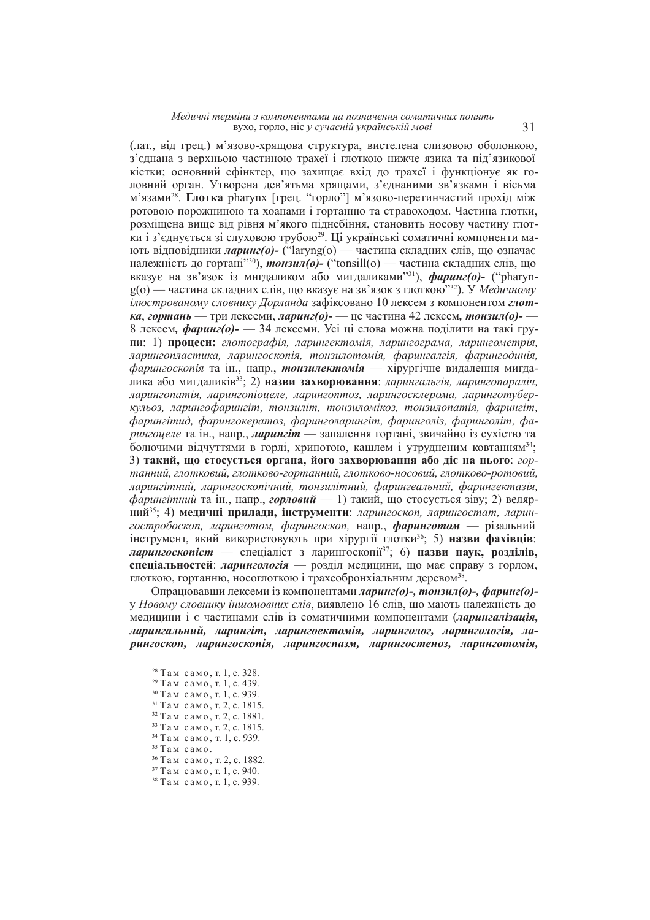#### $M$ едичні терміни з компонентами на позначення соматичних понять вухо, горло, ніс *у сучасній українській мові*

(лат., від грец.) м'язово-хрящова структура, вистелена слизовою оболонкою, з'єднана з верхньою частиною трахеї і глоткою нижче язика та під'язикової кістки; основний сфінктер, що захищає вхід до трахеї і функціонує як головний орган. Утворена дев'ятьма хрящами, з'єднаними зв'язками і вісьма м'язами<sup>28</sup>. Глотка pharynx [грец. "горло"] м'язово-перетинчастий прохід між ротовою порожниною та хоанами і гортанню та стравоходом. Частина глотки, розмішена више віл рівня м'якого пілнебіння, становить носову частину глотки і з'єднується зі слуховою трубою<sup>29</sup>. Ці українські соматичні компоненти мають відповідники ларинг(о)- ("laryng(o) — частина складних слів, що означає належність до гортані"<sup>30</sup>), **тонзил(о)-** ("tonsill(o) — частина складних слів, що вказує на зв'язок із мигдаликом або мигдаликами"<sup>31</sup>), *фаринг(о)*- ("pharyng(o) — частина складних слів, що вказує на зв'язок з глоткою"<sup>32</sup>). У *Медичному ілюстрованому словнику Дорланда* зафіксовано 10 лексем з компонентом глот*ка*, *гортань* — три лексеми, *ларинг*(*о*)- — не частина 42 лексем, тонзил(о)-8 лексем, **фаринг(о)-** — 34 лексеми. Усі ці слова можна поділити на такі групи: 1) **процеси:** глотографія, ларингектомія, ларингограма, ларингометрія, дарингопластика, ларингоскопія, тонзилотомія, фарингалгія, фарингодинія, *фарингоскопія* та ін., напр., *тонзилектомія* — хірургічне видалення мигда- $\hat{A}$ **ѝка або мигдаликів**<sup>33</sup>; 2) **назви захворювання**: *ларингальгія*, *ларингопараліч*, ларингопатія, ларингопіоцеле, ларингоптоз, ларингосклерома, ларинготубер*кульоз, ларингофарингіт, тонзиліт, тонзиломікоз, тонзилопатія, фарингіт,*  $\phi$ арингітид, фарингокератоз, фаринголарингіт, фаринголіз, фаринголіт, фа*рингоцеле* та ін., напр., *ларингіт* — запалення гортані, звичайно із сухістю та болючими відчуттями в горлі, хрипотою, кашлем і утрудненим ковтанням<sup>34</sup>; 3) такий, шо стосується органа, його захворювання або ліє на нього: *гор* $m$ *анний, глотковий, глотково-гортанний, глотково-носовий, глотково-ротовий,* дарингітний, ларингоскопічний, тонзилітний, фарингеальний, фарингектазія, *фарингітний* та ін., напр., *горловий* — 1) такий, що стосується зіву: 2) веляр- $HH\ddot{H}^{35}$ ; 4) меличні прилали, інструменти: ларингоскоп, ларингостат, ларингостробоскоп, ларинготом, фарингоскоп, напр., фаринготом — різальний нетрумент, який використовують при хірургії глотки<sup>36</sup>; 5) **назви фахівців**: *ларингоскопіст* — спеціаліст з ларингоскопії<sup>37</sup>; 6) назви наук, розділів, спеціальностей: ларингологія — розділ медицини, що має справу з горлом, глоткою, гортанню, носоглоткою і трахеобронхіальним деревом<sup>38</sup>.

Ɉɩɪɚɰɸɜɚɜɲɢ ɥɟɤɫɟɦɢ ɿɡ ɤɨɦɩɨɧɟɧɬɚɦɢ *ɥɚɪɢɧɝ(ɨ)-, ɬɨɧɡɢɥ(ɨ)-, ɮɚɪɢɧɝ(ɨ)*  у Новому словнику *іншомовних слів*, виявлено 16 слів, що мають належність до медицини i є частинами слів iз соматичними компонентами (*ларингалізація*, дарингальний, ларингіт, ларингоектомія, ларинголог, ларингологія, ла- $\bm{D}\boldsymbol{u}$ нгоскоп. *ларингоскопія, ларингостазм, ларингостеноз, ларинготомія,* 

 $28$  Там само, т. 1, с. 328.

 $29$  Там само, т. 1, с. 439. <sup>30</sup> Там само, т. 1, с. 939.

 $31$  Tam camo, T. 2, c. 1815.

 $32$  Там само, т. 2, с. 1881.

<sup>&</sup>lt;sup>33</sup> Там само, т. 2, с. 1815.

<sup>&</sup>lt;sup>34</sup> Там само, т. 1, с. 939.

 $35$   $TaM$   $caMO$ .

<sup>&</sup>lt;sup>36</sup> Там само, т. 2, с. 1882.

<sup>&</sup>lt;sup>37</sup> Там само, т. 1, с. 940.

 $38$  Там само, т. 1, с. 939.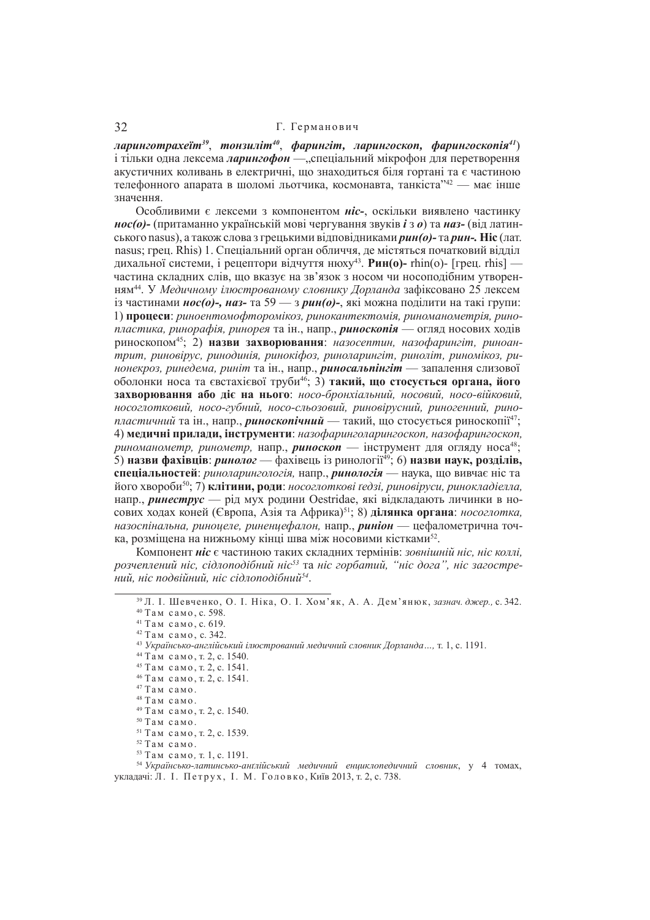# 32 Г. Германович

ларинготрахеїт $^{39},$  тонзиліт $^{40},$  фарингіт, ларингоскоп, фарингоскопія $^{41})$ і тільки одна лексема ларингофон — "спеціальний мікрофон для перетворення акустичних коливань в електричні, що знаходиться біля гортані та є частиною телефонного апарата в шоломі льотчика, космонавта, танкіста"<sup>42</sup> — має інше значення.

Особливими є лексеми з компонентом *ніс*-, оскільки виявлено частинку *нос(о)*- (притаманно українській мові чергування звуків *і*з *о*) та наз- (від латинського nasus), а також слова з грецькими відповідниками рин(о)- та рин-. Ніс (лат. nasus; грец. Rhis) 1. Спеціальний орган обличчя, де містяться початковий відділ дихальної системи, і рецептори відчуття нюху<sup>43</sup>. Рин(о)- rhin(о)- [грец. rhis] частина склалних слів, що вказує на зв'язок з носом чи носополібним утворенням<sup>44</sup>. У Медичному ілюстрованому словнику Дорланда зафіксовано 25 лексем  $i_3$  частинами *нос(о)-*, *наз-* та 59 — *з рин(о)-*, які можна поділити на такі групи: 1) процеси: риноентомофторомікоз, ринокантектомія, риноманометрія, рино*пластика, ринорафія, ринорея* та ін., напр., *риноскопія* — огляд носових ходів pиноскопом<sup>45</sup>; 2) **назви захворювання**; *назосептин*, *назофарингіт, риноан* $m$ рит, риновірус, ринодинія, ринокіфоз, риноларингіт, риноліт, риномікоз, ри*нонекроз, ринедема, риніт* та ін., напр., *риносальпінгіт* — запалення слизової  $\overline{6}$ оболонки носа та євстахієвої труби<sup>46</sup>; 3) такий, що стосується органа, його захворювання або діє на нього: носо-бронхіальний, носовий, носо-війковий,  $HOCOZIOMKOBU\tilde{u}$ ,  $HOCO-ZV\tilde{O}HU\tilde{u}$ ,  $HOCO-CIbO3O8U\tilde{u}$ ,  $DUHOGIDVCHU\tilde{u}$ ,  $DUHOZeHHU\tilde{u}$ ,  $DUHO-CDI$ *пластичний* та ін., напр., риноскопічний — такий, що стосується риноскопії<sup>47</sup>; 4) медичні прилади, інструменти: назофаринголарингоскоп, назофарингоскоп, риноманометр, ринометр, напр., риноскоп — інструмент для огляду носа<sup>48</sup>; 5) **назви фахівців**: ринолог — фахівець із ринології<sup>49</sup>; 6) **назви наук, розділів, спеціальностей**: риноларингологія, напр., ринологія — наука, що вивчає ніс та його хвороби<sup>50</sup>; 7) клітини, роди: носоглоткові ґедзі, риновіруси, ринокладієлла, напр., **ринеструс** — pin мух ролини Oestridae, які вілкладають личинки в носових ходах коней (Європа, Азія та Африка)<sup>51</sup>; 8) ділянка органа: носоглотка, *назоспінальна, риноцеле, риненцефалон, напр., риніон* — цефалометрична точка, розміщена на нижньому кінці шва між носовими кістками<sup>52</sup>.

Компонент ніс є частиною таких склалних термінів: *зовнішній ніс. ніс коллі*. poзчеплений ніс, сідлоподібний ніс<sup>53</sup> та ніс горбатий, "ніс дога", ніс загостре*ɧɢɣ, ɧɿɫ ɩɨɞɜɿɣɧɢɣ, ɧɿɫ ɫɿɞɥɨɩɨɞɿɛɧɢɣ<sup>54</sup>* .

- 46 Там само, т. 2, с. 1541.
- $47$  Там само.
- 48 Там само.
- <sup>49</sup> Там само, т. 2, с. 1540.
- $50$  Там само.
- 51 Там само, т. 2, с. 1539.
- $^{\rm 52}$ Там само.
- <sup>53</sup> Там само, т. 1, с. 1191.

<sup>54</sup> Українсько-латинсько-анґлійський медичний енциклопедичний словник, у 4 томах, укладачі: Л. І. Петрух, І. М. Головко, Київ 2013, т. 2, с. 738.

<sup>&</sup>lt;sup>39</sup> Л. І. Шевченко, О. І. Ніка, О. І. Хом'як, А. А. Дем'янюк, зазнач. джер., с. 342. 40 Там само, с. 598.

 $41$  Там само, с. 619.

<sup>42</sup> Там само, с. 342.

<sup>&</sup>lt;sup>43</sup> Українсько-англійський ілюстрований медичний словник Дорланда..., т. 1, с. 1191.

<sup>&</sup>lt;sup>44</sup> Там само, т. 2, с. 1540. <sup>45</sup> Там само, т. 2, с. 1541.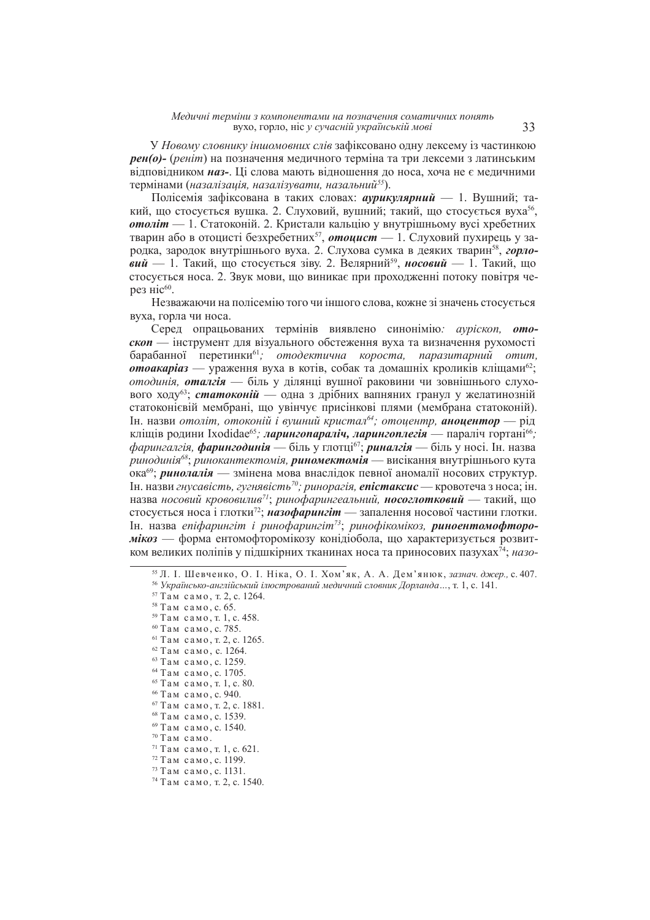У *Новому словнику іншомовних слів* зафіксовано одну лексему із частинкою  $pen(o)$ - (реніт) на позначення медичного терміна та три лексеми з латинським відповідником **наз-**. Ці слова мають відношення до носа, хоча не є медичними термінами (назалізація, назалізувати, назальний<sup>55</sup>).

Полісемія зафіксована в таких словах: *аурикулярний* — 1. Вушний; такий, що стосується вушка. 2. Слуховий, вушний; такий, що стосується вуха<sup>56</sup>, *отоліт* — 1. Статоконій. 2. Кристали кальцію у внутрішньому вусі хребетних тварин або в отоцисті безхребетних<sup>57</sup>, **отоцист** — 1. Слуховий пухирець у зародка, зародок внутрішнього вуха. 2. Слухова сумка в деяких тварин<sup>58</sup>, горловий — 1. Такий, що стосується зіву. 2. Велярний<sup>59</sup>, носовий — 1. Такий, що стосується носа. 2. Звук мови, що виникає при проходженні потоку повітря через ніс $60$ .

Незважаючи на полісемію того чи іншого слова, кожне зі значень стосується вуха, горла чи носа.

Серед опрацьованих термінів виявлено синонімію: *ауріскоп*, **ото***скоп* — інструмент для візуального обстеження вуха та визначення рухомості барабанної перетинки<sup>61</sup>; отодектична короста, паразитарний отит. *отоакаріаз* — ураження вуха в котів, собак та ломашніх кроликів клішами<sup>62</sup>; *отодинія***, оталгія** — біль у ділянці вушної раковини чи зовнішнього слухового ходу<sup>63</sup>; статоконій — одна з дрібних вапняних гранул у желатинозній статоконієвій мембрані, що увінчує присінкові плями (мембрана статоконій).  $I<sub>H</sub>$ . назви *отоліт, отоконій і вушний кристал*<sup>64</sup>; отоцентр, **аноцентор** — рід кліщів родини Ixodidae<sup>65</sup>; *ларингопараліч, ларингоплегія* — параліч гортані<sup>66</sup>;  $\phi$ арингалгія, фарингодинія — біль у глотці<sup>67</sup>; риналгія — біль у носі. Ін. назва  $\overline{p}$ инодинія<sup>68</sup>; ринокантектомія, риномектомія — висікання внутрішнього кута **ока<sup>69</sup>;** *ринолалія* — змінена мова внаслідок певної аномалії носових структур.  $\overline{H}$ н. назви гнусавість, гугнявість<sup>70</sup>; ринорагія, **епістаксис** — кровотеча з носа; ін.  $\mu$ азва *носовий крововилив<sup>71</sup>; ринофарингеальний, носоглотковий — такий, шо* стосується носа і глотки<sup>72</sup>; **назофарингіт** — запалення носової частини глотки.  $I<sub>H</sub>$ . назва епіфарингіт і ринофарингіт<sup>73</sup>; ринофікомікоз, **риноентомофторо***мікоз* — форма ентомофторомікозу конідіобола, що характеризується розвитком великих поліпів у пілшкірних тканинах носа та приносових пазухах<sup>74</sup>: *назо*-

<sup>&</sup>lt;sup>55</sup> Л. І. Шевченко, О. І. Ніка, О. І. Хом'як, А. А. Дем'янюк, зазнач. джер., с. 407.

<sup>56</sup> *ɍɤɪɚʀɧɫɶɤɨ-ɚɧɝɥɿɣɫɶɤɢɣ ɿɥɸɫɬɪɨɜɚɧɢɣ ɦɟɞɢɱɧɢɣ ɫɥɨɜɧɢɤ Ⱦɨɪɥɚɧɞɚ…*, ɬ. 1, ɫ. 141.

<sup>&</sup>lt;sup>57</sup> Там само, т. 2, с. 1264.

<sup>&</sup>lt;sup>58</sup> Там само, с. 65.

<sup>&</sup>lt;sup>59</sup> Там само, т. 1, с. 458.

<sup>&</sup>lt;sup>60</sup> Там само, с. 785.

 $61$  Там само, т. 2, с. 1265.

<sup>&</sup>lt;sup>62</sup> Там само, с. 1264.

<sup>63</sup> Там само, с. 1259.

<sup>&</sup>lt;sup>64</sup> Там само, с. 1705.

 $65$  Tam camo, r. 1, c. 80.

<sup>66</sup> Там само, с. 940.

 $67$  Там само, т. 2, с. 1881.

<sup>&</sup>lt;sup>68</sup> Там само, с. 1539. 69 Там само, с. 1540.

 $70$  Там само.

 $71$  Tam camo, T. 1, c. 621.

<sup>72</sup> Там само, с. 1199.

<sup>73</sup> Там само, с. 1131.

<sup>&</sup>lt;sup>74</sup> Там само, т. 2, с. 1540.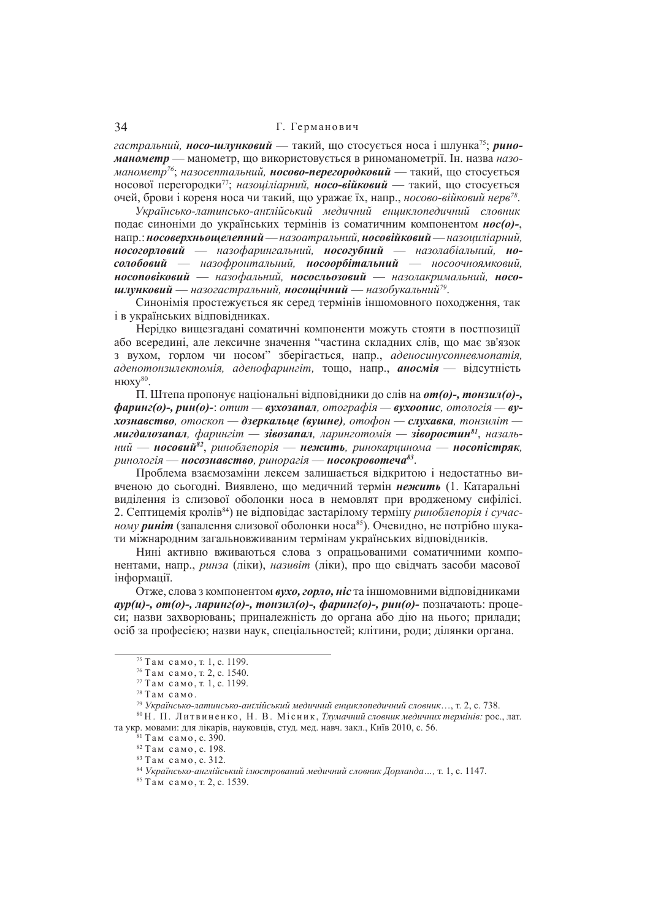## 34 Г. Германович

*гастральний, носо-шлунковий* — такий, що стосується носа і шлунка<sup>75</sup>; *риноманометр* — манометр, що використовується в риноманометрії. Ін. назва назо*манометр<sup>76</sup>; назосептальний, носово-перегородковий* — такий, що стосується носової перегородки<sup>77</sup>; назоціліарний, носо-війковий — такий, що стосується очей, брови і кореня носа чи такий, що уражає їх, напр., *носово-війковий нерв<sup>78</sup>.* 

*ɍɤɪɚʀɧɫɶɤɨ-ɥɚɬɢɧɫɶɤɨ-ɚɧʉɥɿɣɫɶɤɢɣ ɦɟɞɢɱɧɢɣ ɟɧɰɢɤɥɨɩɟɞɢɱɧɢɣ ɫɥɨɜɧɢɤ* полає синоніми до українських термінів із соматичним компонентом *нос(о)-*, напр∴носоверхньощелепний — назоатральний, носовійковий — назоциліарний, **носогорловий** — назофарингальний, носогубний — назолабіальний, но**солобовий** — назофронтальний, носоорбітальний — носоочноямковий,  $hoconosikosu\check{u}$  — назофальний, **нососльозовий** — назолакримальний, носо**шлунковий —** назогастральний, **носощічний —** назобукальний<sup>79</sup>.

Синонімія простежується як серед термінів іншомовного походження, так і в українських вілповілниках.

Нерідко вищезгадані соматичні компоненти можуть стояти в постпозиції або всередині, але лексичне значення "частина складних слів, що має зв'язок з вухом, горлом чи носом" зберігається, напр., аденосинусопневмопатія,  $\vec{a}$ денотонзилектомія, аденофарингіт, тошо, напр., **аносмія** — відсутність нюху<sup>80</sup>.

П. Штепа пропонує національні відповідники до слів на **от**(о)-, тонзил(о)-,  $\phi$ аринг(о)-, рин(о)-; отит — вухозапал, отографія — вухоопис, отологія — ву $x$  $\alpha$ знавство, отоскоп — дзеркальце (вушне), отофон — слухавка, тонзиліт **мигдалозапал,** фарингіт — **зівозапал**, ларинготомія — **зіворостин<sup>81</sup>,** назальний — **носовий<sup>82</sup>, риноблепорія — нежить**, ринокарцинома — **носопістряк**, ринологія — <mark>носознавство</mark>, ринорагія — <mark>носокровотеча<sup>83</sup>.</mark>

Проблема взаємозаміни лексем залишається вілкритою і нелостатньо вивченою до сьогодні. Виявлено, що медичний термін нежить (1. Катаральні вилілення із слизової оболонки носа в немовлят при вродженому сифілісі. 2. Септицемія кролів<sup>84</sup>) не відповідає застарілому терміну *риноблепорія і сучас ному риніт* (запалення слизової оболонки носа<sup>85</sup>). Очевидно, не потрібно шукати міжнародним загальновживаним термінам українських відповідників.

Нині активно вживаються слова з опрацьованими соматичними компонентами, напр., *ринза* (ліки), *називіт* (ліки), про що свідчать засоби масової інформації.

Отже, слова з компонентом вухо, горло, ніс та іншомовними відповідниками  $avp(u)$ -,  $om(o)$ -,  $\pi a p u n z(o)$ -,  $m o n u \pi(o)$ -,  $\phi a p u n z(o)$ -,  $p u n(o)$ -  $\pi o s n a v a v n b$ :  $\pi o o u e$ си; назви захворювань; приналежність до органа або дію на нього; прилади; осіб за професією; назви наук, спеціальностей; клітини, роди; ділянки органа.

<sup>75</sup> Там само, т. 1, с. 1199.

<sup>76</sup> Там само, т. 2, с. 1540.

<sup>77</sup> Там само, т. 1, с. 1199.

 $78$  Там само.

<sup>79</sup> *ɍɤɪɚʀɧɫɶɤɨ-ɥɚɬɢɧɫɶɤɨ-ɚɧʉɥɿɣɫɶɤɢɣ ɦɟɞɢɱɧɢɣ ɟɧɰɢɤɥɨɩɟɞɢɱɧɢɣ ɫɥɨɜɧɢɤ*…, ɬ. 2, ɫ. 738.

<sup>&</sup>lt;sup>80</sup> Н. П. Литвиненко, Н. В. Місник, *Тлумачний словник медичних термінів*: рос., лат. та укр. мовами: для лікарів, науковців, студ. мед. навч. закл., Київ 2010, с. 56.

 $81$  Там само, с. 390.

 $82$  Там само с 198

<sup>&</sup>lt;sup>83</sup> Там само, с. 312.

<sup>84</sup> *ɍɤɪɚʀɧɫɶɤɨ-ɚɧɝɥɿɣɫɶɤɢɣ ɿɥɸɫɬɪɨɜɚɧɢɣ ɦɟɞɢɱɧɢɣ ɫɥɨɜɧɢɤ Ⱦɨɪɥɚɧɞɚ…,* ɬ. 1, ɫ. 1147.

<sup>&</sup>lt;sup>85</sup> Там само, т. 2, с. 1539.